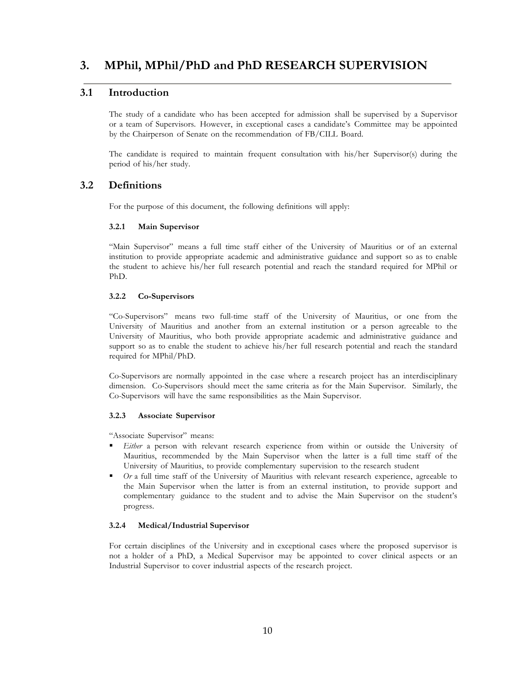# **3. MPhil, MPhil/PhD and PhD RESEARCH SUPERVISION**

## **3.1 Introduction**

The study of a candidate who has been accepted for admission shall be supervised by a Supervisor or a team of Supervisors. However, in exceptional cases a candidate's Committee may be appointed by the Chairperson of Senate on the recommendation of FB/CILL Board.

The candidate is required to maintain frequent consultation with his/her Supervisor(s) during the period of his/her study.

## **3.2 Definitions**

For the purpose of this document, the following definitions will apply:

### **3.2.1 Main Supervisor**

"Main Supervisor" means a full time staff either of the University of Mauritius or of an external institution to provide appropriate academic and administrative guidance and support so as to enable the student to achieve his/her full research potential and reach the standard required for MPhil or PhD.

### **3.2.2 Co-Supervisors**

"Co-Supervisors" means two full-time staff of the University of Mauritius, or one from the University of Mauritius and another from an external institution or a person agreeable to the University of Mauritius, who both provide appropriate academic and administrative guidance and support so as to enable the student to achieve his/her full research potential and reach the standard required for MPhil/PhD.

Co-Supervisors are normally appointed in the case where a research project has an interdisciplinary dimension. Co-Supervisors should meet the same criteria as for the Main Supervisor. Similarly, the Co-Supervisors will have the same responsibilities as the Main Supervisor.

### **3.2.3 Associate Supervisor**

"Associate Supervisor" means:

- *Either* a person with relevant research experience from within or outside the University of Mauritius, recommended by the Main Supervisor when the latter is a full time staff of the University of Mauritius, to provide complementary supervision to the research student
- *Or* a full time staff of the University of Mauritius with relevant research experience, agreeable to the Main Supervisor when the latter is from an external institution, to provide support and complementary guidance to the student and to advise the Main Supervisor on the student's progress.

### **3.2.4 Medical/Industrial Supervisor**

For certain disciplines of the University and in exceptional cases where the proposed supervisor is not a holder of a PhD, a Medical Supervisor may be appointed to cover clinical aspects or an Industrial Supervisor to cover industrial aspects of the research project.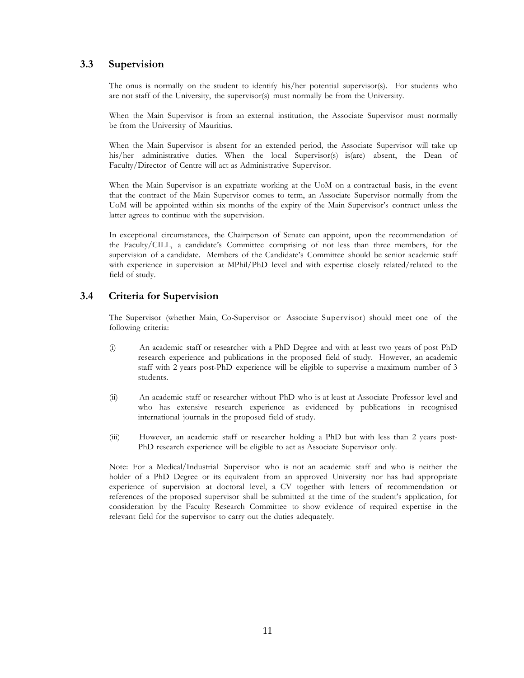## **3.3 Supervision**

The onus is normally on the student to identify his/her potential supervisor(s). For students who are not staff of the University, the supervisor(s) must normally be from the University.

When the Main Supervisor is from an external institution, the Associate Supervisor must normally be from the University of Mauritius.

When the Main Supervisor is absent for an extended period, the Associate Supervisor will take up his/her administrative duties. When the local Supervisor(s) is(are) absent, the Dean of Faculty/Director of Centre will act as Administrative Supervisor.

When the Main Supervisor is an expatriate working at the UoM on a contractual basis, in the event that the contract of the Main Supervisor comes to term, an Associate Supervisor normally from the UoM will be appointed within six months of the expiry of the Main Supervisor's contract unless the latter agrees to continue with the supervision.

In exceptional circumstances, the Chairperson of Senate can appoint, upon the recommendation of the Faculty/CILL, a candidate's Committee comprising of not less than three members, for the supervision of a candidate. Members of the Candidate's Committee should be senior academic staff with experience in supervision at MPhil/PhD level and with expertise closely related/related to the field of study.

## **3.4 Criteria for Supervision**

The Supervisor (whether Main, Co-Supervisor or Associate Supervisor) should meet one of the following criteria:

- (i) An academic staff or researcher with a PhD Degree and with at least two years of post PhD research experience and publications in the proposed field of study. However, an academic staff with 2 years post-PhD experience will be eligible to supervise a maximum number of 3 students.
- (ii) An academic staff or researcher without PhD who is at least at Associate Professor level and who has extensive research experience as evidenced by publications in recognised international journals in the proposed field of study.
- (iii) However, an academic staff or researcher holding a PhD but with less than 2 years post-PhD research experience will be eligible to act as Associate Supervisor only.

Note: For a Medical/Industrial Supervisor who is not an academic staff and who is neither the holder of a PhD Degree or its equivalent from an approved University nor has had appropriate experience of supervision at doctoral level, a CV together with letters of recommendation or references of the proposed supervisor shall be submitted at the time of the student's application, for consideration by the Faculty Research Committee to show evidence of required expertise in the relevant field for the supervisor to carry out the duties adequately.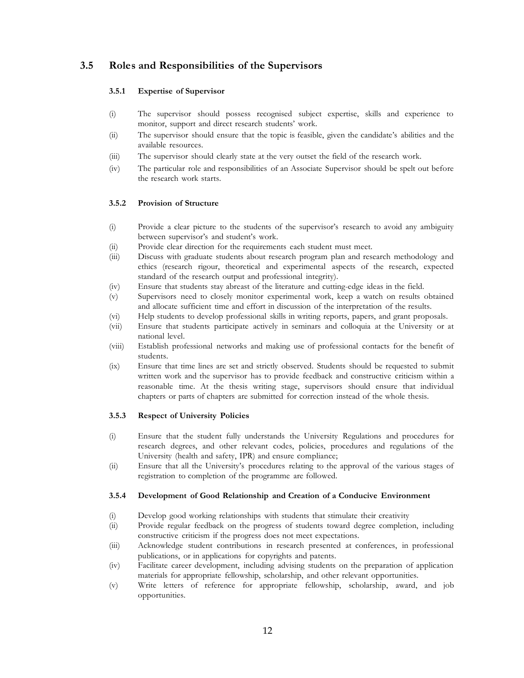## **3.5 Role s and Responsibilities of the Supervisors**

#### **3.5.1 Expertise of Supervisor**

- (i) The supervisor should possess recognised subject expertise, skills and experience to monitor, support and direct research students' work.
- (ii) The supervisor should ensure that the topic is feasible, given the candidate's abilities and the available resources.
- (iii) The supervisor should clearly state at the very outset the field of the research work.
- (iv) The particular role and responsibilities of an Associate Supervisor should be spelt out before the research work starts.

### **3.5.2 Provision of Structure**

- (i) Provide a clear picture to the students of the supervisor's research to avoid any ambiguity between supervisor's and student's work.
- (ii) Provide clear direction for the requirements each student must meet.
- (iii) Discuss with graduate students about research program plan and research methodology and ethics (research rigour, theoretical and experimental aspects of the research, expected standard of the research output and professional integrity).
- (iv) Ensure that students stay abreast of the literature and cutting-edge ideas in the field.
- (v) Supervisors need to closely monitor experimental work, keep a watch on results obtained and allocate sufficient time and effort in discussion of the interpretation of the results.
- $(v_i)$ Help students to develop professional skills in writing reports, papers, and grant proposals.
- (vii) Ensure that students participate actively in seminars and colloquia at the University or at national level.
- (viii) Establish professional networks and making use of professional contacts for the benefit of students.
- $(ix)$ Ensure that time lines are set and strictly observed. Students should be requested to submit written work and the supervisor has to provide feedback and constructive criticism within a reasonable time. At the thesis writing stage, supervisors should ensure that individual chapters or parts of chapters are submitted for correction instead of the whole thesis.

### **3.5.3 Respect of University Policies**

- (i) Ensure that the student fully understands the University Regulations and procedures for research degrees, and other relevant codes, policies, procedures and regulations of the University (health and safety, IPR) and ensure compliance;
- (ii) Ensure that all the University's procedures relating to the approval of the various stages of registration to completion of the programme are followed.

### **3.5.4 Development of Good Relationship and Creation of a Conducive Environment**

- (i) Develop good working relationships with students that stimulate their creativity
- (ii) Provide regular feedback on the progress of students toward degree completion, including constructive criticism if the progress does not meet expectations.
- (iii) Acknowledge student contributions in research presented at conferences, in professional publications, or in applications for copyrights and patents.
- (iv) Facilitate career development, including advising students on the preparation of application materials for appropriate fellowship, scholarship, and other relevant opportunities.
- (v) Write letters of reference for appropriate fellowship, scholarship, award, and job opportunities.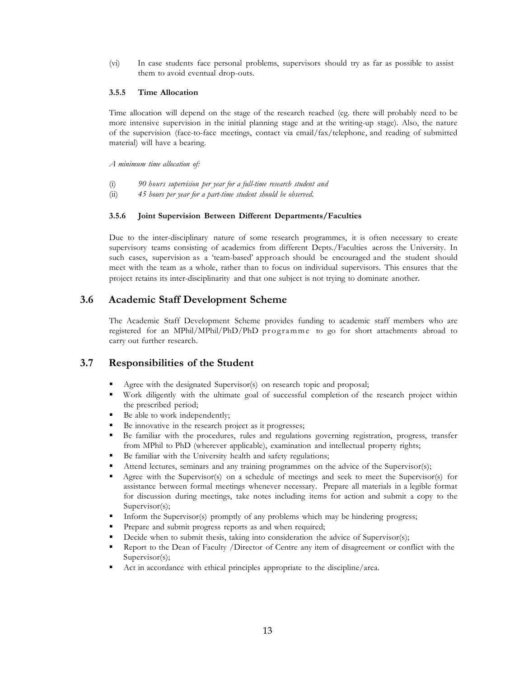(vi) In case students face personal problems, supervisors should try as far as possible to assist them to avoid eventual drop-outs.

### **3.5.5 Time Allocation**

Time allocation will depend on the stage of the research reached (eg. there will probably need to be more intensive supervision in the initial planning stage and at the writing-up stage). Also, the nature of the supervision (face-to-face meetings, contact via email/fax/telephone, and reading of submitted material) will have a bearing.

*A minimum time allocation of:*

- (i) *90 hours supervision per year for a full-time research student and*
- (ii) *45 hours per year for a part-time student should be observed.*

### **3.5.6 Joint Supervision Between Different Departments/Faculties**

Due to the inter-disciplinary nature of some research programmes, it is often necessary to create supervisory teams consisting of academics from different Depts./Faculties across the University. In such cases, supervision as a 'team-based' approach should be encouraged and the student should meet with the team as a whole, rather than to focus on individual supervisors. This ensures that the project retains its inter-disciplinarity and that one subject is not trying to dominate another.

## **3.6 Academic Staff Development Scheme**

The Academic Staff Development Scheme provides funding to academic staff members who are registered for an MPhil/MPhil/PhD/PhD programme to go for short attachments abroad to carry out further research.

## **3.7 Responsibilities of the Student**

- Agree with the designated Supervisor(s) on research topic and proposal;
- Work diligently with the ultimate goal of successful completion of the research project within the prescribed period;
- Be able to work independently;
- Be innovative in the research project as it progresses;
- Be familiar with the procedures, rules and regulations governing registration, progress, transfer from MPhil to PhD (wherever applicable), examination and intellectual property rights;
- Be familiar with the University health and safety regulations;
- Attend lectures, seminars and any training programmes on the advice of the Supervisor(s);
- Agree with the Supervisor(s) on a schedule of meetings and seek to meet the Supervisor(s) for assistance between formal meetings whenever necessary. Prepare all materials in a legible format for discussion during meetings, take notes including items for action and submit a copy to the Supervisor(s);
- Inform the Supervisor(s) promptly of any problems which may be hindering progress;
- Prepare and submit progress reports as and when required;
- Decide when to submit thesis, taking into consideration the advice of Supervisor(s);
- Report to the Dean of Faculty /Director of Centre any item of disagreement or conflict with the Supervisor(s);
- Act in accordance with ethical principles appropriate to the discipline/area.